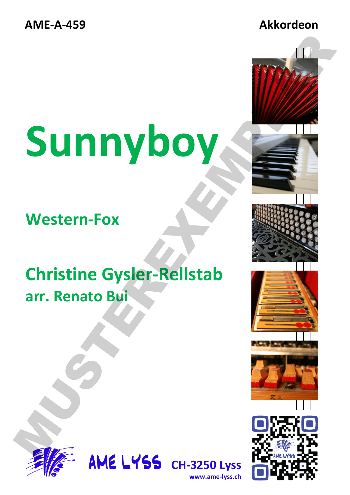# **Sunnyboy**

**Western-Fox**

### **Christine Gysler-Rellstab arr. Renato Bui**